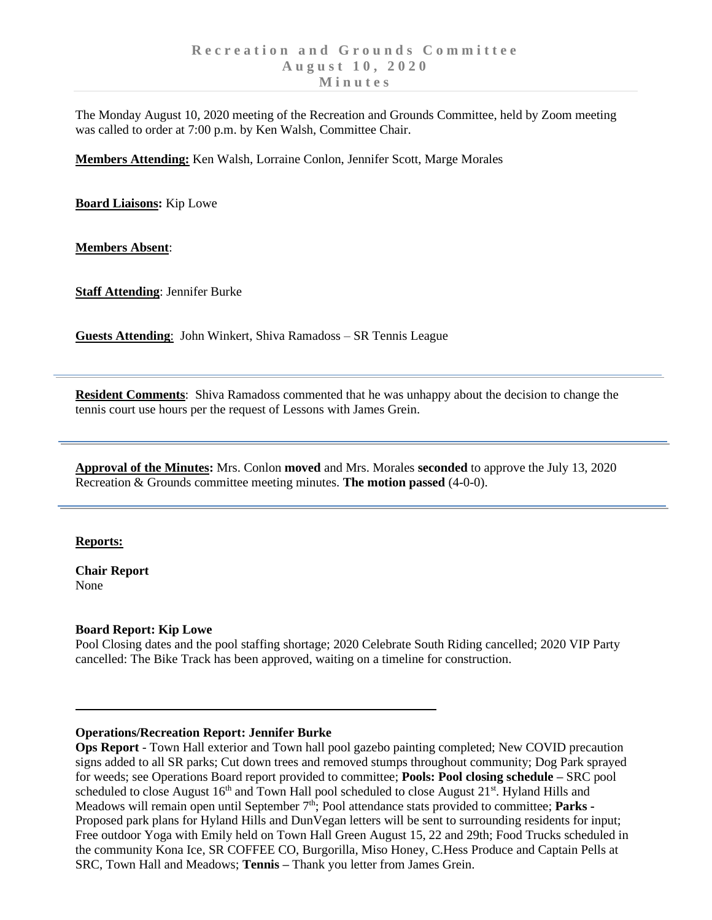The Monday August 10, 2020 meeting of the Recreation and Grounds Committee, held by Zoom meeting was called to order at 7:00 p.m. by Ken Walsh, Committee Chair.

**Members Attending:** Ken Walsh, Lorraine Conlon, Jennifer Scott, Marge Morales

**Board Liaisons:** Kip Lowe

**Members Absent**:

**Staff Attending**: Jennifer Burke

**Guests Attending**: John Winkert, Shiva Ramadoss – SR Tennis League

**Resident Comments**: Shiva Ramadoss commented that he was unhappy about the decision to change the tennis court use hours per the request of Lessons with James Grein.

**Approval of the Minutes:** Mrs. Conlon **moved** and Mrs. Morales **seconded** to approve the July 13, 2020 Recreation & Grounds committee meeting minutes. **The motion passed** (4-0-0).

### **Reports:**

**Chair Report** None

### **Board Report: Kip Lowe**

Pool Closing dates and the pool staffing shortage; 2020 Celebrate South Riding cancelled; 2020 VIP Party cancelled: The Bike Track has been approved, waiting on a timeline for construction.

### **Operations/Recreation Report: Jennifer Burke**

**Ops Report** - Town Hall exterior and Town hall pool gazebo painting completed; New COVID precaution signs added to all SR parks; Cut down trees and removed stumps throughout community; Dog Park sprayed for weeds; see Operations Board report provided to committee; **Pools: Pool closing schedule –** SRC pool scheduled to close August 16<sup>th</sup> and Town Hall pool scheduled to close August 21<sup>st</sup>. Hyland Hills and Meadows will remain open until September 7<sup>th</sup>; Pool attendance stats provided to committee; Parks **-**Proposed park plans for Hyland Hills and DunVegan letters will be sent to surrounding residents for input; Free outdoor Yoga with Emily held on Town Hall Green August 15, 22 and 29th; Food Trucks scheduled in the community Kona Ice, SR COFFEE CO, Burgorilla, Miso Honey, C.Hess Produce and Captain Pells at SRC, Town Hall and Meadows; **Tennis –** Thank you letter from James Grein.